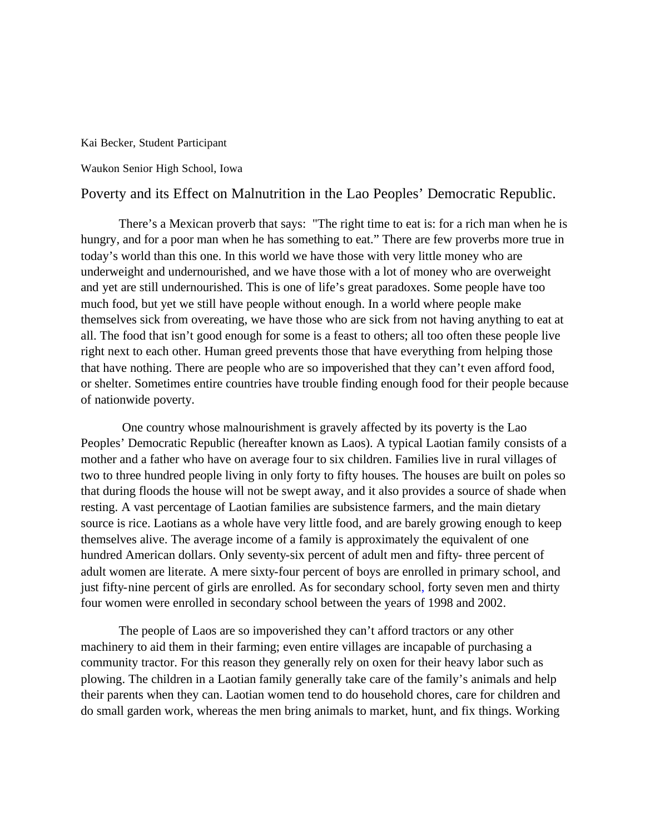Kai Becker, Student Participant

Waukon Senior High School, Iowa

## Poverty and its Effect on Malnutrition in the Lao Peoples' Democratic Republic.

There's a Mexican proverb that says: "The right time to eat is: for a rich man when he is hungry, and for a poor man when he has something to eat." There are few proverbs more true in today's world than this one. In this world we have those with very little money who are underweight and undernourished, and we have those with a lot of money who are overweight and yet are still undernourished. This is one of life's great paradoxes. Some people have too much food, but yet we still have people without enough. In a world where people make themselves sick from overeating, we have those who are sick from not having anything to eat at all. The food that isn't good enough for some is a feast to others; all too often these people live right next to each other. Human greed prevents those that have everything from helping those that have nothing. There are people who are so impoverished that they can't even afford food, or shelter. Sometimes entire countries have trouble finding enough food for their people because of nationwide poverty.

 One country whose malnourishment is gravely affected by its poverty is the Lao Peoples' Democratic Republic (hereafter known as Laos). A typical Laotian family consists of a mother and a father who have on average four to six children. Families live in rural villages of two to three hundred people living in only forty to fifty houses. The houses are built on poles so that during floods the house will not be swept away, and it also provides a source of shade when resting. A vast percentage of Laotian families are subsistence farmers, and the main dietary source is rice. Laotians as a whole have very little food, and are barely growing enough to keep themselves alive. The average income of a family is approximately the equivalent of one hundred American dollars. Only seventy-six percent of adult men and fifty- three percent of adult women are literate. A mere sixty-four percent of boys are enrolled in primary school, and just fifty-nine percent of girls are enrolled. As for secondary school, forty seven men and thirty four women were enrolled in secondary school between the years of 1998 and 2002.

The people of Laos are so impoverished they can't afford tractors or any other machinery to aid them in their farming; even entire villages are incapable of purchasing a community tractor. For this reason they generally rely on oxen for their heavy labor such as plowing. The children in a Laotian family generally take care of the family's animals and help their parents when they can. Laotian women tend to do household chores, care for children and do small garden work, whereas the men bring animals to market, hunt, and fix things. Working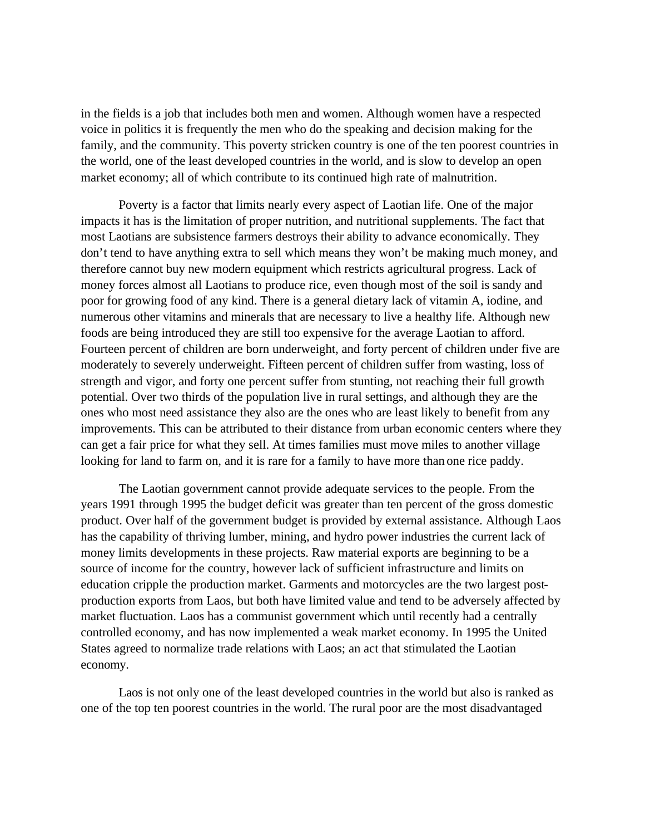in the fields is a job that includes both men and women. Although women have a respected voice in politics it is frequently the men who do the speaking and decision making for the family, and the community. This poverty stricken country is one of the ten poorest countries in the world, one of the least developed countries in the world, and is slow to develop an open market economy; all of which contribute to its continued high rate of malnutrition.

Poverty is a factor that limits nearly every aspect of Laotian life. One of the major impacts it has is the limitation of proper nutrition, and nutritional supplements. The fact that most Laotians are subsistence farmers destroys their ability to advance economically. They don't tend to have anything extra to sell which means they won't be making much money, and therefore cannot buy new modern equipment which restricts agricultural progress. Lack of money forces almost all Laotians to produce rice, even though most of the soil is sandy and poor for growing food of any kind. There is a general dietary lack of vitamin A, iodine, and numerous other vitamins and minerals that are necessary to live a healthy life. Although new foods are being introduced they are still too expensive for the average Laotian to afford. Fourteen percent of children are born underweight, and forty percent of children under five are moderately to severely underweight. Fifteen percent of children suffer from wasting, loss of strength and vigor, and forty one percent suffer from stunting, not reaching their full growth potential. Over two thirds of the population live in rural settings, and although they are the ones who most need assistance they also are the ones who are least likely to benefit from any improvements. This can be attributed to their distance from urban economic centers where they can get a fair price for what they sell. At times families must move miles to another village looking for land to farm on, and it is rare for a family to have more than one rice paddy.

The Laotian government cannot provide adequate services to the people. From the years 1991 through 1995 the budget deficit was greater than ten percent of the gross domestic product. Over half of the government budget is provided by external assistance. Although Laos has the capability of thriving lumber, mining, and hydro power industries the current lack of money limits developments in these projects. Raw material exports are beginning to be a source of income for the country, however lack of sufficient infrastructure and limits on education cripple the production market. Garments and motorcycles are the two largest postproduction exports from Laos, but both have limited value and tend to be adversely affected by market fluctuation. Laos has a communist government which until recently had a centrally controlled economy, and has now implemented a weak market economy. In 1995 the United States agreed to normalize trade relations with Laos; an act that stimulated the Laotian economy.

Laos is not only one of the least developed countries in the world but also is ranked as one of the top ten poorest countries in the world. The rural poor are the most disadvantaged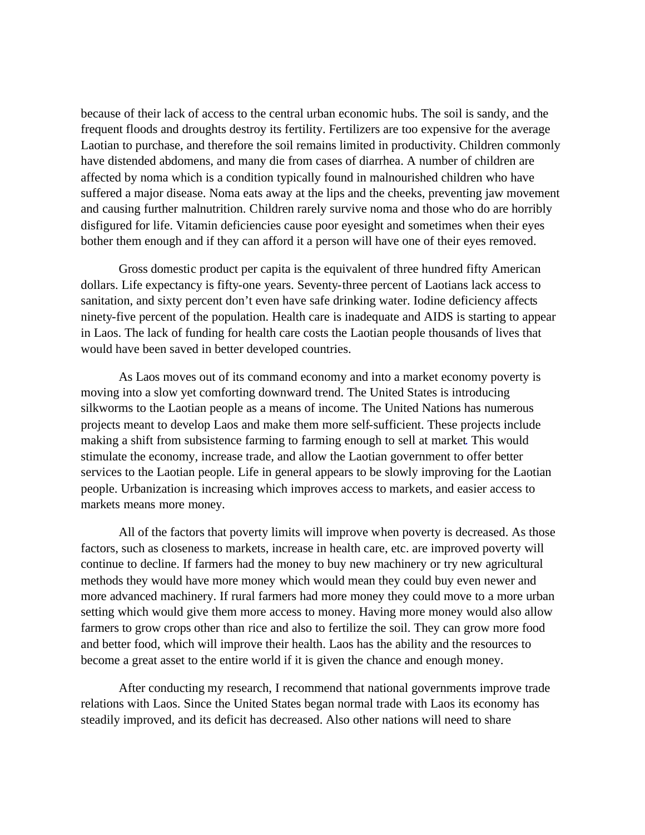because of their lack of access to the central urban economic hubs. The soil is sandy, and the frequent floods and droughts destroy its fertility. Fertilizers are too expensive for the average Laotian to purchase, and therefore the soil remains limited in productivity. Children commonly have distended abdomens, and many die from cases of diarrhea. A number of children are affected by noma which is a condition typically found in malnourished children who have suffered a major disease. Noma eats away at the lips and the cheeks, preventing jaw movement and causing further malnutrition. Children rarely survive noma and those who do are horribly disfigured for life. Vitamin deficiencies cause poor eyesight and sometimes when their eyes bother them enough and if they can afford it a person will have one of their eyes removed.

Gross domestic product per capita is the equivalent of three hundred fifty American dollars. Life expectancy is fifty-one years. Seventy-three percent of Laotians lack access to sanitation, and sixty percent don't even have safe drinking water. Iodine deficiency affects ninety-five percent of the population. Health care is inadequate and AIDS is starting to appear in Laos. The lack of funding for health care costs the Laotian people thousands of lives that would have been saved in better developed countries.

As Laos moves out of its command economy and into a market economy poverty is moving into a slow yet comforting downward trend. The United States is introducing silkworms to the Laotian people as a means of income. The United Nations has numerous projects meant to develop Laos and make them more self-sufficient. These projects include making a shift from subsistence farming to farming enough to sell at market. This would stimulate the economy, increase trade, and allow the Laotian government to offer better services to the Laotian people. Life in general appears to be slowly improving for the Laotian people. Urbanization is increasing which improves access to markets, and easier access to markets means more money.

All of the factors that poverty limits will improve when poverty is decreased. As those factors, such as closeness to markets, increase in health care, etc. are improved poverty will continue to decline. If farmers had the money to buy new machinery or try new agricultural methods they would have more money which would mean they could buy even newer and more advanced machinery. If rural farmers had more money they could move to a more urban setting which would give them more access to money. Having more money would also allow farmers to grow crops other than rice and also to fertilize the soil. They can grow more food and better food, which will improve their health. Laos has the ability and the resources to become a great asset to the entire world if it is given the chance and enough money.

After conducting my research, I recommend that national governments improve trade relations with Laos. Since the United States began normal trade with Laos its economy has steadily improved, and its deficit has decreased. Also other nations will need to share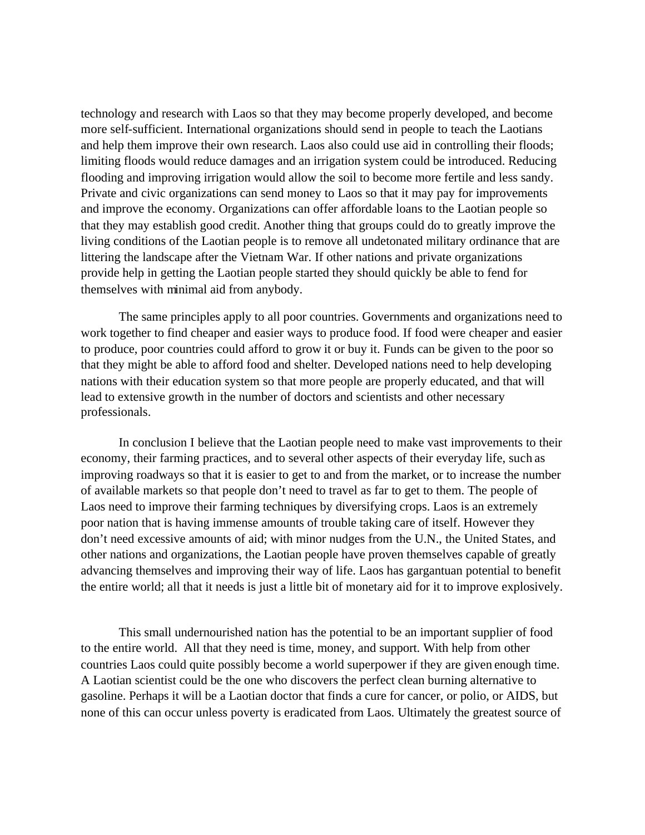technology and research with Laos so that they may become properly developed, and become more self-sufficient. International organizations should send in people to teach the Laotians and help them improve their own research. Laos also could use aid in controlling their floods; limiting floods would reduce damages and an irrigation system could be introduced. Reducing flooding and improving irrigation would allow the soil to become more fertile and less sandy. Private and civic organizations can send money to Laos so that it may pay for improvements and improve the economy. Organizations can offer affordable loans to the Laotian people so that they may establish good credit. Another thing that groups could do to greatly improve the living conditions of the Laotian people is to remove all undetonated military ordinance that are littering the landscape after the Vietnam War. If other nations and private organizations provide help in getting the Laotian people started they should quickly be able to fend for themselves with minimal aid from anybody.

The same principles apply to all poor countries. Governments and organizations need to work together to find cheaper and easier ways to produce food. If food were cheaper and easier to produce, poor countries could afford to grow it or buy it. Funds can be given to the poor so that they might be able to afford food and shelter. Developed nations need to help developing nations with their education system so that more people are properly educated, and that will lead to extensive growth in the number of doctors and scientists and other necessary professionals.

In conclusion I believe that the Laotian people need to make vast improvements to their economy, their farming practices, and to several other aspects of their everyday life, such as improving roadways so that it is easier to get to and from the market, or to increase the number of available markets so that people don't need to travel as far to get to them. The people of Laos need to improve their farming techniques by diversifying crops. Laos is an extremely poor nation that is having immense amounts of trouble taking care of itself. However they don't need excessive amounts of aid; with minor nudges from the U.N., the United States, and other nations and organizations, the Laotian people have proven themselves capable of greatly advancing themselves and improving their way of life. Laos has gargantuan potential to benefit the entire world; all that it needs is just a little bit of monetary aid for it to improve explosively.

This small undernourished nation has the potential to be an important supplier of food to the entire world. All that they need is time, money, and support. With help from other countries Laos could quite possibly become a world superpower if they are given enough time. A Laotian scientist could be the one who discovers the perfect clean burning alternative to gasoline. Perhaps it will be a Laotian doctor that finds a cure for cancer, or polio, or AIDS, but none of this can occur unless poverty is eradicated from Laos. Ultimately the greatest source of